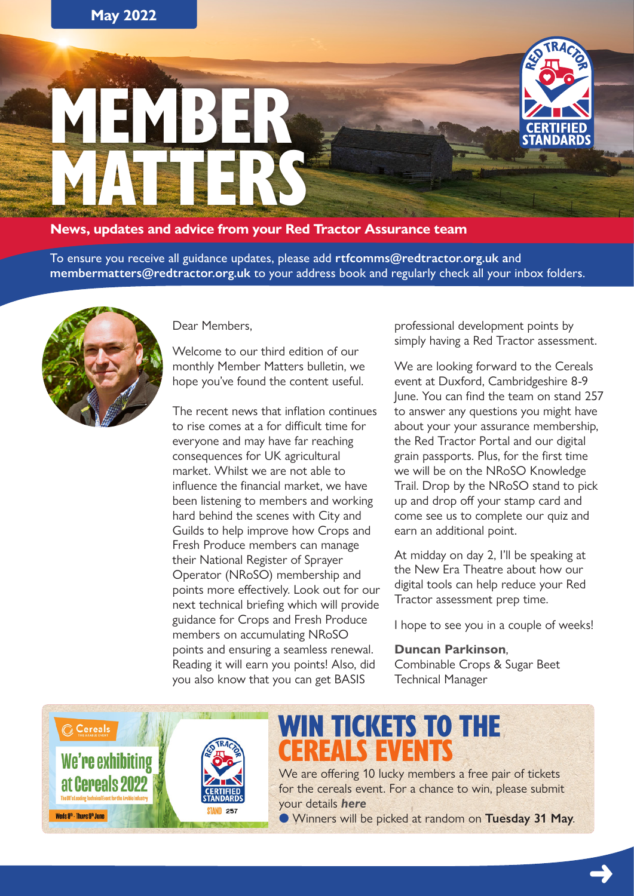

**News, updates and advice from your Red Tractor Assurance team**

To ensure you receive all guidance updates, please add **[rtfcomms@redtractor.org.uk](mailto:rtfcomms%40redtractor.org.uk?subject=) a**nd **[membermatters@redtractor.org.uk](mailto:membermatters%40redtractor.org.uk?subject=)** to your address book and regularly check all your inbox folders.



Dear Members,

Welcome to our third edition of our monthly Member Matters bulletin, we hope you've found the content useful.

The recent news that inflation continues to rise comes at a for difficult time for everyone and may have far reaching consequences for UK agricultural market. Whilst we are not able to influence the financial market, we have been listening to members and working hard behind the scenes with City and Guilds to help improve how Crops and Fresh Produce members can manage their National Register of Sprayer Operator (NRoSO) membership and points more effectively. Look out for our next technical briefing which will provide guidance for Crops and Fresh Produce members on accumulating NRoSO points and ensuring a seamless renewal. Reading it will earn you points! Also, did you also know that you can get BASIS

professional development points by simply having a Red Tractor assessment.

We are looking forward to the Cereals event at Duxford, Cambridgeshire 8-9 June. You can find the team on stand 257 to answer any questions you might have about your your assurance membership, the Red Tractor Portal and our digital grain passports. Plus, for the first time we will be on the NRoSO Knowledge Trail. Drop by the NRoSO stand to pick up and drop off your stamp card and come see us to complete our quiz and earn an additional point.

At midday on day 2, I'll be speaking at the New Era Theatre about how our digital tools can help reduce your Red Tractor assessment prep time.

I hope to see you in a couple of weeks!

➜

**Duncan Parkinson**,

Combinable Crops & Sugar Beet Technical Manager



#### WIN TICKETS TO THE CEREALS EVENTS

We are offering 10 lucky members a free pair of tickets for the cereals event. For a chance to win, please submit your details *[here](https://forms.office.com/pages/responsepage.aspx?id=viyyMsg0_E6C0aQUypdiwDxSt3Gi-OFInCuOXlYM1bVUNFdQU1VQQjMzRVI4NU1ZMjBTUkxYNU5UOCQlQCN0PWcu&web=1&wdLOR=c85C0E598-07AE-BA41-8946-A90C05091C48)*

l Winners will be picked at random on **Tuesday 31 May**.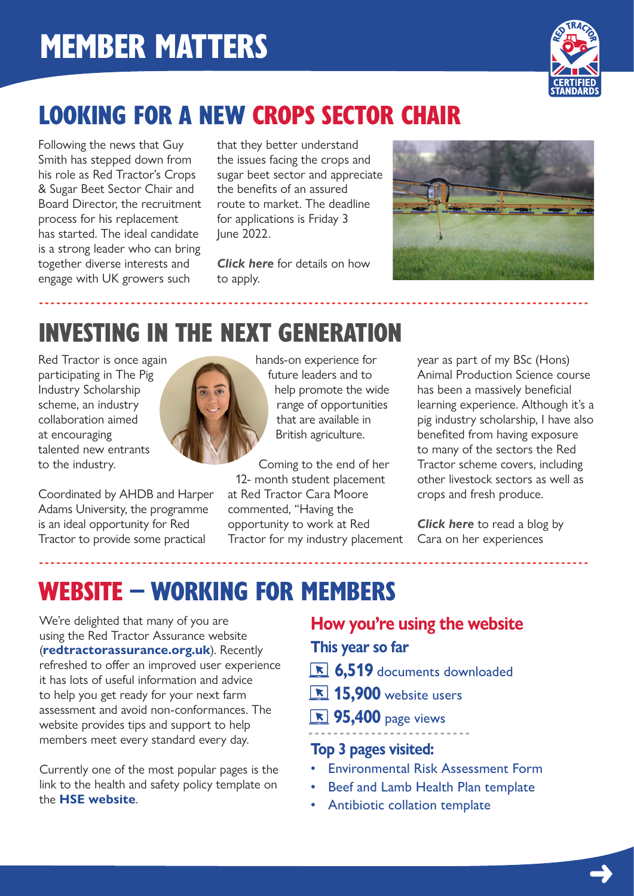

## LOOKING FOR A NEW CROPS SECTOR CHAIR

Following the news that Guy Smith has stepped down from his role as Red Tractor's Crops & Sugar Beet Sector Chair and Board Director, the recruitment process for his replacement has started. The ideal candidate is a strong leader who can bring together diverse interests and engage with UK growers such

that they better understand the issues facing the crops and sugar beet sector and appreciate the benefits of an assured route to market. The deadline for applications is Friday 3 June 2022.

*[Click here](https://redtractorassurance.org.uk/wp-content/uploads/2022/05/Red-Tractor-Crops-Chairman.pdf)* for details on how to apply.

------------------------------------------------------------------------------------------------



## INVESTING IN THE NEXT GENERATION

Red Tractor is once again participating in The Pig Industry Scholarship scheme, an industry collaboration aimed at encouraging talented new entrants to the industry.

Coordinated by AHDB and Harper Adams University, the programme is an ideal opportunity for Red Tractor to provide some practical



hands-on experience for future leaders and to help promote the wide range of opportunities that are available in British agriculture.

Coming to the end of her 12- month student placement at Red Tractor Cara Moore commented, "Having the opportunity to work at Red Tractor for my industry placement

------------------------------------------------------------------------------------------------

year as part of my BSc (Hons) Animal Production Science course has been a massively beneficial learning experience. Although it's a pig industry scholarship, I have also benefited from having exposure to many of the sectors the Red Tractor scheme covers, including other livestock sectors as well as crops and fresh produce.

*[Click here](https://redtractorassurance.org.uk/news/investing-in-the-next-generation/)* to read a blog by Cara on her experiences

➜

#### WEBSITE – WORKING FOR MEMBERS

We're delighted that many of you are using the Red Tractor Assurance website (**[redtractorassurance.org.uk](http://www.redtractorassurance.org.uk)**). Recently refreshed to offer an improved user experience it has lots of useful information and advice to help you get ready for your next farm assessment and avoid non-conformances. The website provides tips and support to help members meet every standard every day.

Currently one of the most popular pages is the link to the health and safety policy template on the **[HSE website](https://www.hse.gov.uk/simple-health-safety/policy/policy-statement-template.pdf)**.

**How you're using the website**

**This year so far**

- **6,519** documents downloaded
- **<u><b>R**</u> 15,900 website users
- **<u><b>R**</u> 95,400 page views

#### -------------------------- **Top 3 pages visited:**

- Environmental Risk Assessment Form
- Beef and Lamb Health Plan template
- Antibiotic collation template